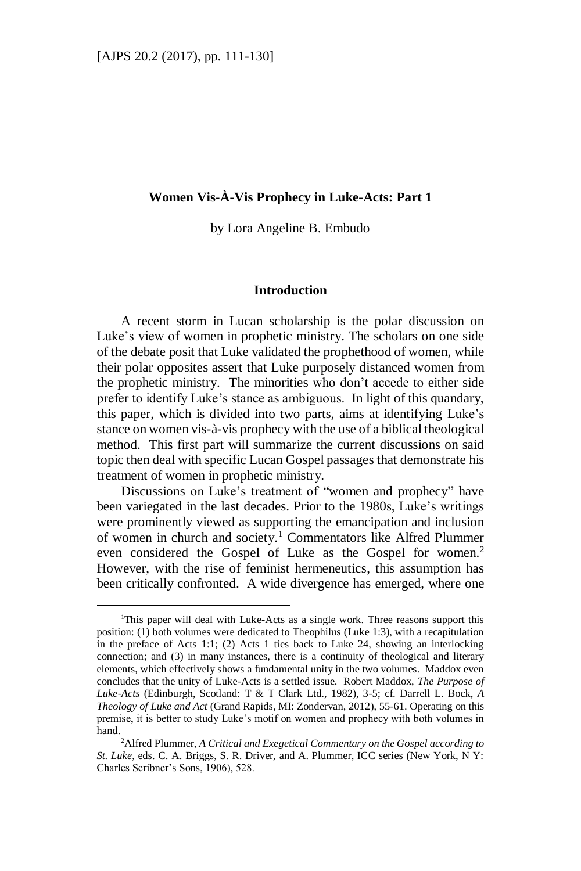$\overline{a}$ 

# **Women Vis-À-Vis Prophecy in Luke-Acts: Part 1**

by Lora Angeline B. Embudo

#### **Introduction**

A recent storm in Lucan scholarship is the polar discussion on Luke's view of women in prophetic ministry. The scholars on one side of the debate posit that Luke validated the prophethood of women, while their polar opposites assert that Luke purposely distanced women from the prophetic ministry. The minorities who don't accede to either side prefer to identify Luke's stance as ambiguous. In light of this quandary, this paper, which is divided into two parts, aims at identifying Luke's stance on women vis-à-vis prophecy with the use of a biblical theological method. This first part will summarize the current discussions on said topic then deal with specific Lucan Gospel passages that demonstrate his treatment of women in prophetic ministry.

Discussions on Luke's treatment of "women and prophecy" have been variegated in the last decades. Prior to the 1980s, Luke's writings were prominently viewed as supporting the emancipation and inclusion of women in church and society. <sup>1</sup> Commentators like Alfred Plummer even considered the Gospel of Luke as the Gospel for women.<sup>2</sup> However, with the rise of feminist hermeneutics, this assumption has been critically confronted. A wide divergence has emerged, where one

<sup>&</sup>lt;sup>1</sup>This paper will deal with Luke-Acts as a single work. Three reasons support this position: (1) both volumes were dedicated to Theophilus (Luke 1:3), with a recapitulation in the preface of Acts 1:1; (2) Acts 1 ties back to Luke 24, showing an interlocking connection; and (3) in many instances, there is a continuity of theological and literary elements, which effectively shows a fundamental unity in the two volumes. Maddox even concludes that the unity of Luke-Acts is a settled issue. Robert Maddox, *The Purpose of Luke-Acts* (Edinburgh, Scotland: T & T Clark Ltd., 1982), 3-5; cf. Darrell L. Bock, *A Theology of Luke and Act* (Grand Rapids, MI: Zondervan, 2012), 55-61. Operating on this premise, it is better to study Luke's motif on women and prophecy with both volumes in hand.

<sup>2</sup>Alfred Plummer, *A Critical and Exegetical Commentary on the Gospel according to St. Luke*, eds. C. A. Briggs, S. R. Driver, and A. Plummer, ICC series (New York, N Y: Charles Scribner's Sons, 1906), 528.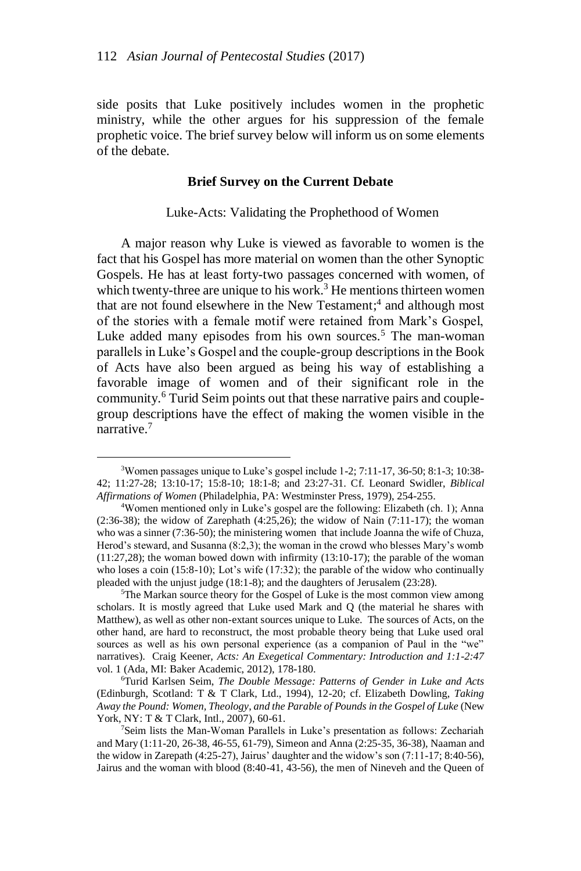side posits that Luke positively includes women in the prophetic ministry, while the other argues for his suppression of the female prophetic voice. The brief survey below will inform us on some elements of the debate.

### **Brief Survey on the Current Debate**

Luke-Acts: Validating the Prophethood of Women

A major reason why Luke is viewed as favorable to women is the fact that his Gospel has more material on women than the other Synoptic Gospels. He has at least forty-two passages concerned with women, of which twenty-three are unique to his work.<sup>3</sup> He mentions thirteen women that are not found elsewhere in the New Testament; 4 and although most of the stories with a female motif were retained from Mark's Gospel, Luke added many episodes from his own sources.<sup>5</sup> The man-woman parallels in Luke's Gospel and the couple-group descriptions in the Book of Acts have also been argued as being his way of establishing a favorable image of women and of their significant role in the community.<sup>6</sup> Turid Seim points out that these narrative pairs and couplegroup descriptions have the effect of making the women visible in the narrative.<sup>7</sup>

<sup>3</sup>Women passages unique to Luke's gospel include 1-2; 7:11-17, 36-50; 8:1-3; 10:38- 42; 11:27-28; 13:10-17; 15:8-10; 18:1-8; and 23:27-31. Cf. Leonard Swidler, *Biblical Affirmations of Women* (Philadelphia, PA: Westminster Press, 1979), 254-255.

<sup>4</sup>Women mentioned only in Luke's gospel are the following: Elizabeth (ch. 1); Anna (2:36-38); the widow of Zarephath  $(4:25,26)$ ; the widow of Nain  $(7:11-17)$ ; the woman who was a sinner (7:36-50); the ministering women that include Joanna the wife of Chuza, Herod's steward, and Susanna (8:2,3); the woman in the crowd who blesses Mary's womb (11:27,28); the woman bowed down with infirmity (13:10-17); the parable of the woman who loses a coin (15:8-10); Lot's wife (17:32); the parable of the widow who continually pleaded with the unjust judge (18:1-8); and the daughters of Jerusalem (23:28).

<sup>5</sup>The Markan source theory for the Gospel of Luke is the most common view among scholars. It is mostly agreed that Luke used Mark and Q (the material he shares with Matthew), as well as other non-extant sources unique to Luke. The sources of Acts, on the other hand, are hard to reconstruct, the most probable theory being that Luke used oral sources as well as his own personal experience (as a companion of Paul in the "we" narratives). Craig Keener, *Acts: An Exegetical Commentary: Introduction and 1:1-2:47*  vol. 1 (Ada, MI: Baker Academic, 2012), 178-180.

<sup>6</sup>Turid Karlsen Seim, *The Double Message: Patterns of Gender in Luke and Acts* (Edinburgh, Scotland: T & T Clark, Ltd., 1994), 12-20; cf. Elizabeth Dowling, *Taking Away the Pound: Women, Theology*, *and the Parable of Pounds in the Gospel of Luke* (New York, NY: T & T Clark, Intl., 2007), 60-61.

<sup>7</sup>Seim lists the Man-Woman Parallels in Luke's presentation as follows: Zechariah and Mary (1:11-20, 26-38, 46-55, 61-79), Simeon and Anna (2:25-35, 36-38), Naaman and the widow in Zarepath (4:25-27), Jairus' daughter and the widow's son (7:11-17; 8:40-56), Jairus and the woman with blood (8:40-41, 43-56), the men of Nineveh and the Queen of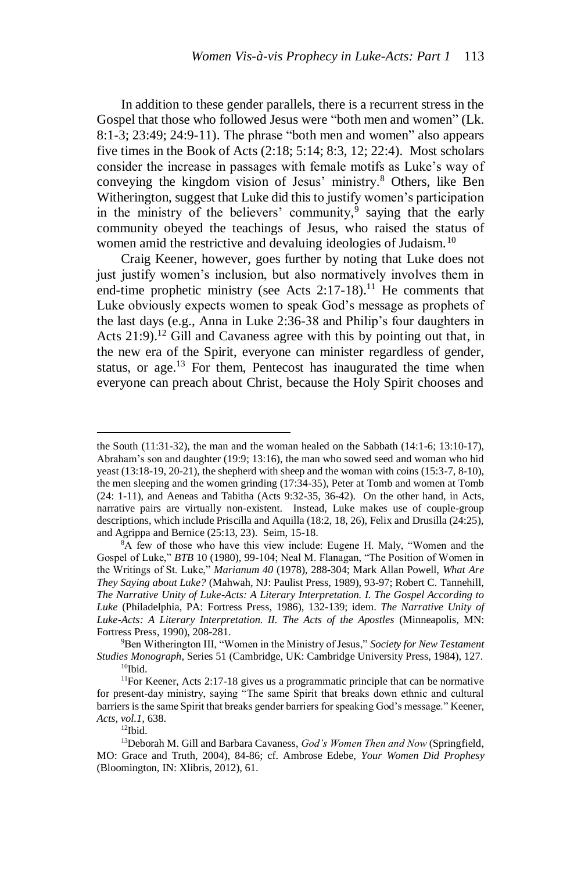In addition to these gender parallels, there is a recurrent stress in the Gospel that those who followed Jesus were "both men and women" (Lk. 8:1-3; 23:49; 24:9-11). The phrase "both men and women" also appears five times in the Book of Acts (2:18; 5:14; 8:3, 12; 22:4). Most scholars consider the increase in passages with female motifs as Luke's way of conveying the kingdom vision of Jesus' ministry.<sup>8</sup> Others, like Ben Witherington, suggest that Luke did this to justify women's participation in the ministry of the believers' community,  $9$  saying that the early community obeyed the teachings of Jesus, who raised the status of women amid the restrictive and devaluing ideologies of Judaism.<sup>10</sup>

Craig Keener, however, goes further by noting that Luke does not just justify women's inclusion, but also normatively involves them in end-time prophetic ministry (see Acts  $2:17-18$ ).<sup>11</sup> He comments that Luke obviously expects women to speak God's message as prophets of the last days (e.g., Anna in Luke 2:36-38 and Philip's four daughters in Acts  $21:9$ .<sup>12</sup> Gill and Cavaness agree with this by pointing out that, in the new era of the Spirit, everyone can minister regardless of gender, status, or age.<sup>13</sup> For them, Pentecost has inaugurated the time when everyone can preach about Christ, because the Holy Spirit chooses and

<sup>9</sup>Ben Witherington III, "Women in the Ministry of Jesus," *Society for New Testament Studies Monograph*, Series 51 (Cambridge, UK: Cambridge University Press, 1984), 127.  $10$ Ibid.

 $12$ Ibid.

the South (11:31-32), the man and the woman healed on the Sabbath (14:1-6; 13:10-17), Abraham's son and daughter (19:9; 13:16), the man who sowed seed and woman who hid yeast (13:18-19, 20-21), the shepherd with sheep and the woman with coins (15:3-7, 8-10), the men sleeping and the women grinding (17:34-35), Peter at Tomb and women at Tomb (24: 1-11), and Aeneas and Tabitha (Acts 9:32-35, 36-42). On the other hand, in Acts, narrative pairs are virtually non-existent. Instead, Luke makes use of couple-group descriptions, which include Priscilla and Aquilla (18:2, 18, 26), Felix and Drusilla (24:25), and Agrippa and Bernice (25:13, 23). Seim, 15-18.

 ${}^{8}A$  few of those who have this view include: Eugene H. Maly, "Women and the Gospel of Luke," *BTB* 10 (1980), 99-104; Neal M. Flanagan, "The Position of Women in the Writings of St. Luke," *Marianum 40* (1978), 288-304; Mark Allan Powell, *What Are They Saying about Luke?* (Mahwah, NJ: Paulist Press, 1989), 93-97; Robert C. Tannehill, *The Narrative Unity of Luke-Acts: A Literary Interpretation. I. The Gospel According to Luke* (Philadelphia, PA: Fortress Press, 1986), 132-139; idem. *The Narrative Unity of Luke-Acts: A Literary Interpretation. II. The Acts of the Apostles* (Minneapolis, MN: Fortress Press, 1990), 208-281.

<sup>&</sup>lt;sup>11</sup>For Keener, Acts 2:17-18 gives us a programmatic principle that can be normative for present-day ministry, saying "The same Spirit that breaks down ethnic and cultural barriers is the same Spirit that breaks gender barriers for speaking God's message." Keener, *Acts, vol.1,* 638.

<sup>13</sup>Deborah M. Gill and Barbara Cavaness, *God's Women Then and Now* (Springfield, MO: Grace and Truth, 2004), 84-86; cf. Ambrose Edebe, *Your Women Did Prophesy* (Bloomington, IN: Xlibris, 2012), 61.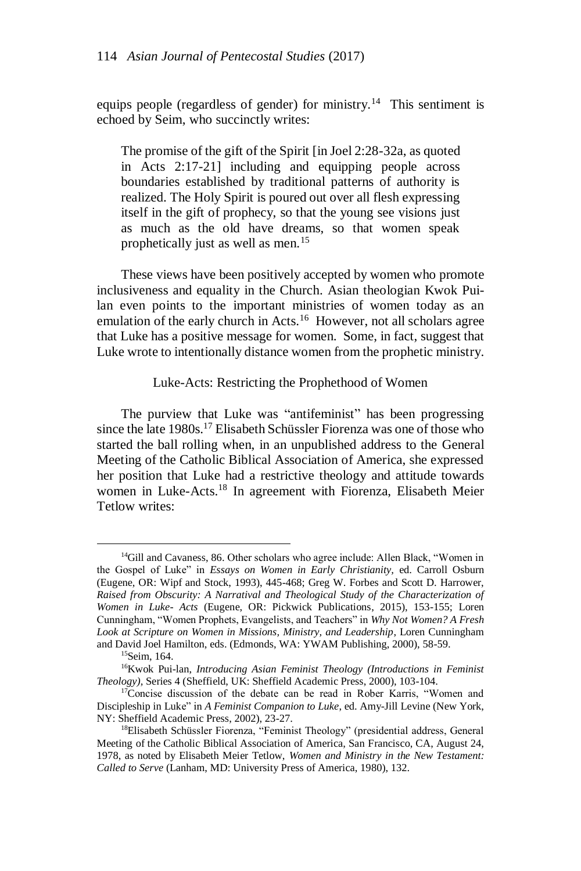equips people (regardless of gender) for ministry.<sup>14</sup> This sentiment is echoed by Seim, who succinctly writes:

The promise of the gift of the Spirit [in Joel 2:28-32a, as quoted in Acts 2:17-21] including and equipping people across boundaries established by traditional patterns of authority is realized. The Holy Spirit is poured out over all flesh expressing itself in the gift of prophecy, so that the young see visions just as much as the old have dreams, so that women speak prophetically just as well as men.<sup>15</sup>

These views have been positively accepted by women who promote inclusiveness and equality in the Church. Asian theologian Kwok Puilan even points to the important ministries of women today as an emulation of the early church in Acts.<sup>16</sup> However, not all scholars agree that Luke has a positive message for women. Some, in fact, suggest that Luke wrote to intentionally distance women from the prophetic ministry.

Luke-Acts: Restricting the Prophethood of Women

The purview that Luke was "antifeminist" has been progressing since the late 1980s.<sup>17</sup> Elisabeth Schüssler Fiorenza was one of those who started the ball rolling when, in an unpublished address to the General Meeting of the Catholic Biblical Association of America, she expressed her position that Luke had a restrictive theology and attitude towards women in Luke-Acts.<sup>18</sup> In agreement with Fiorenza, Elisabeth Meier Tetlow writes:

<sup>&</sup>lt;sup>14</sup>Gill and Cavaness, 86. Other scholars who agree include: Allen Black, "Women in the Gospel of Luke" in *Essays on Women in Early Christianity,* ed. Carroll Osburn (Eugene, OR: Wipf and Stock, 1993), 445-468; Greg W. Forbes and Scott D. Harrower, *Raised from Obscurity: A Narratival and Theological Study of the Characterization of Women in Luke- Acts* (Eugene, OR: Pickwick Publications, 2015), 153-155; Loren Cunningham, "Women Prophets, Evangelists, and Teachers" in *Why Not Women? A Fresh Look at Scripture on Women in Missions, Ministry, and Leadership*, Loren Cunningham and David Joel Hamilton, eds. (Edmonds, WA: YWAM Publishing, 2000), 58-59.

<sup>&</sup>lt;sup>15</sup>Seim, 164.

<sup>16</sup>Kwok Pui-lan, *Introducing Asian Feminist Theology (Introductions in Feminist Theology),* Series 4 (Sheffield, UK: Sheffield Academic Press, 2000), 103-104.

<sup>&</sup>lt;sup>17</sup>Concise discussion of the debate can be read in Rober Karris, "Women and Discipleship in Luke" in *A Feminist Companion to Luke*, ed. Amy-Jill Levine (New York, NY: Sheffield Academic Press, 2002), 23-27.

<sup>18</sup>Elisabeth Schüssler Fiorenza, "Feminist Theology" (presidential address, General Meeting of the Catholic Biblical Association of America, San Francisco, CA, August 24, 1978, as noted by Elisabeth Meier Tetlow, *Women and Ministry in the New Testament: Called to Serve* (Lanham, MD: University Press of America, 1980), 132.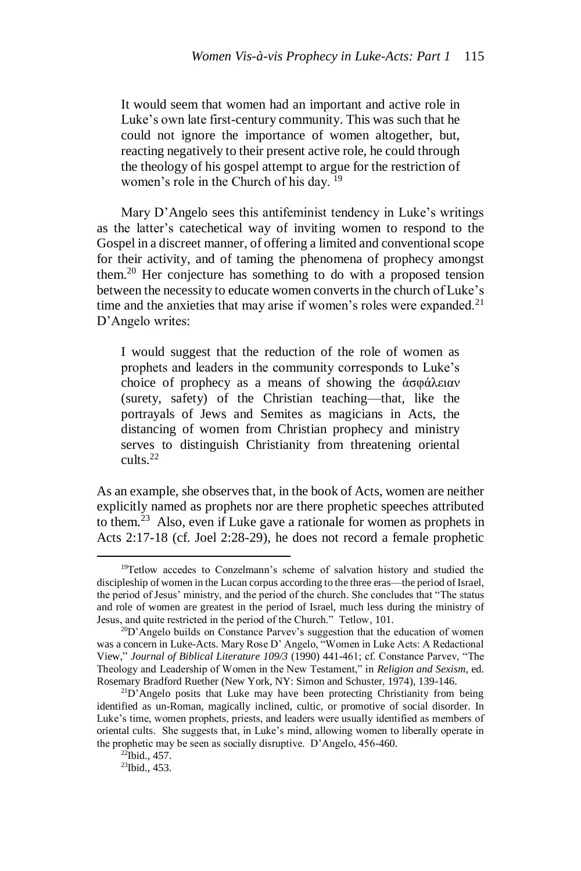It would seem that women had an important and active role in Luke's own late first-century community. This was such that he could not ignore the importance of women altogether, but, reacting negatively to their present active role, he could through the theology of his gospel attempt to argue for the restriction of women's role in the Church of his day. <sup>19</sup>

Mary D'Angelo sees this antifeminist tendency in Luke's writings as the latter's catechetical way of inviting women to respond to the Gospelin a discreet manner, of offering a limited and conventional scope for their activity, and of taming the phenomena of prophecy amongst them.<sup>20</sup> Her conjecture has something to do with a proposed tension between the necessity to educate women converts in the church of Luke's time and the anxieties that may arise if women's roles were expanded.<sup>21</sup> D'Angelo writes:

I would suggest that the reduction of the role of women as prophets and leaders in the community corresponds to Luke's choice of prophecy as a means of showing the άσφάλειαν (surety, safety) of the Christian teaching—that, like the portrayals of Jews and Semites as magicians in Acts, the distancing of women from Christian prophecy and ministry serves to distinguish Christianity from threatening oriental cults.<sup>22</sup>

As an example, she observes that, in the book of Acts, women are neither explicitly named as prophets nor are there prophetic speeches attributed to them.<sup>23</sup> Also, even if Luke gave a rationale for women as prophets in Acts 2:17-18 (cf. Joel 2:28-29), he does not record a female prophetic

<sup>&</sup>lt;sup>19</sup>Tetlow accedes to Conzelmann's scheme of salvation history and studied the discipleship of women in the Lucan corpus according to the three eras—the period of Israel, the period of Jesus' ministry, and the period of the church. She concludes that "The status and role of women are greatest in the period of Israel, much less during the ministry of Jesus, and quite restricted in the period of the Church." Tetlow, 101.

<sup>&</sup>lt;sup>20</sup>D'Angelo builds on Constance Parvev's suggestion that the education of women was a concern in Luke-Acts. Mary Rose D' Angelo, "Women in Luke Acts: A Redactional View," *Journal of Biblical Literature 109/3* (1990) 441-461; cf. Constance Parvev, "The Theology and Leadership of Women in the New Testament," in *Religion and Sexism*, ed. Rosemary Bradford Ruether (New York, NY: Simon and Schuster, 1974), 139-146.

<sup>&</sup>lt;sup>21</sup>D'Angelo posits that Luke may have been protecting Christianity from being identified as un-Roman, magically inclined, cultic, or promotive of social disorder. In Luke's time, women prophets, priests, and leaders were usually identified as members of oriental cults. She suggests that, in Luke's mind, allowing women to liberally operate in the prophetic may be seen as socially disruptive. D'Angelo, 456-460.

 $^{22}$ Ibid., 457.

<sup>23</sup>Ibid., 453.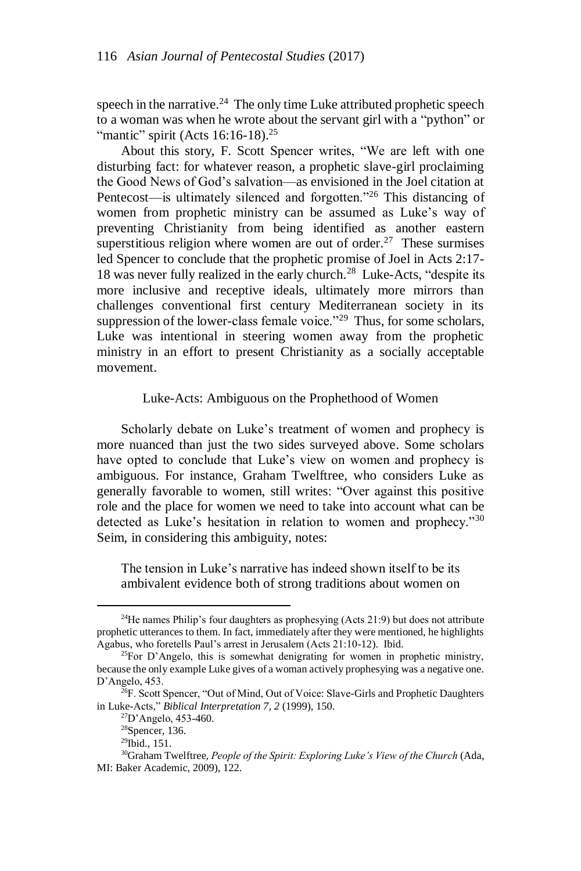speech in the narrative. $^{24}$  The only time Luke attributed prophetic speech to a woman was when he wrote about the servant girl with a "python" or "mantic" spirit (Acts  $16:16-18$ ).<sup>25</sup>

About this story, F. Scott Spencer writes, "We are left with one disturbing fact: for whatever reason, a prophetic slave-girl proclaiming the Good News of God's salvation—as envisioned in the Joel citation at Pentecost—is ultimately silenced and forgotten."<sup>26</sup> This distancing of women from prophetic ministry can be assumed as Luke's way of preventing Christianity from being identified as another eastern superstitious religion where women are out of order.<sup>27</sup> These surmises led Spencer to conclude that the prophetic promise of Joel in Acts 2:17- 18 was never fully realized in the early church. <sup>28</sup> Luke-Acts, "despite its more inclusive and receptive ideals, ultimately more mirrors than challenges conventional first century Mediterranean society in its suppression of the lower-class female voice."<sup>29</sup> Thus, for some scholars, Luke was intentional in steering women away from the prophetic ministry in an effort to present Christianity as a socially acceptable movement.

#### Luke-Acts: Ambiguous on the Prophethood of Women

Scholarly debate on Luke's treatment of women and prophecy is more nuanced than just the two sides surveyed above. Some scholars have opted to conclude that Luke's view on women and prophecy is ambiguous. For instance, Graham Twelftree, who considers Luke as generally favorable to women, still writes: "Over against this positive role and the place for women we need to take into account what can be detected as Luke's hesitation in relation to women and prophecy."<sup>30</sup> Seim, in considering this ambiguity, notes:

The tension in Luke's narrative has indeed shown itself to be its ambivalent evidence both of strong traditions about women on

 $24$ He names Philip's four daughters as prophesying (Acts 21:9) but does not attribute prophetic utterances to them. In fact, immediately after they were mentioned, he highlights Agabus, who foretells Paul's arrest in Jerusalem (Acts 21:10-12). Ibid.

 $^{25}$ For D'Angelo, this is somewhat denigrating for women in prophetic ministry, because the only example Luke gives of a woman actively prophesying was a negative one. D'Angelo, 453.

 $^{26}F$ . Scott Spencer, "Out of Mind, Out of Voice: Slave-Girls and Prophetic Daughters in Luke-Acts," *Biblical Interpretation 7, 2* (1999), 150.

<sup>27</sup>D'Angelo, 453-460.

<sup>28</sup>Spencer, 136.

<sup>29</sup>Ibid., 151.

<sup>30</sup>Graham Twelftree, *People of the Spirit: Exploring Luke's View of the Church* (Ada, MI: Baker Academic, 2009), 122.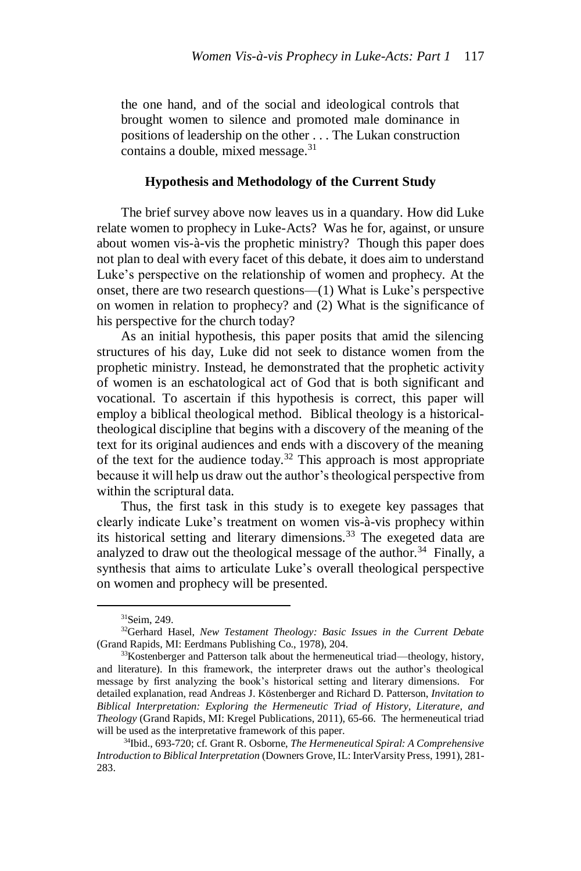the one hand, and of the social and ideological controls that brought women to silence and promoted male dominance in positions of leadership on the other . . . The Lukan construction contains a double, mixed message.<sup>31</sup>

### **Hypothesis and Methodology of the Current Study**

The brief survey above now leaves us in a quandary. How did Luke relate women to prophecy in Luke-Acts? Was he for, against, or unsure about women vis-à-vis the prophetic ministry? Though this paper does not plan to deal with every facet of this debate, it does aim to understand Luke's perspective on the relationship of women and prophecy. At the onset, there are two research questions—(1) What is Luke's perspective on women in relation to prophecy? and (2) What is the significance of his perspective for the church today?

As an initial hypothesis, this paper posits that amid the silencing structures of his day, Luke did not seek to distance women from the prophetic ministry. Instead, he demonstrated that the prophetic activity of women is an eschatological act of God that is both significant and vocational. To ascertain if this hypothesis is correct, this paper will employ a biblical theological method. Biblical theology is a historicaltheological discipline that begins with a discovery of the meaning of the text for its original audiences and ends with a discovery of the meaning of the text for the audience today.<sup>32</sup> This approach is most appropriate because it will help us draw out the author's theological perspective from within the scriptural data.

Thus, the first task in this study is to exegete key passages that clearly indicate Luke's treatment on women vis-à-vis prophecy within its historical setting and literary dimensions.<sup>33</sup> The exegeted data are analyzed to draw out the theological message of the author.<sup>34</sup> Finally, a synthesis that aims to articulate Luke's overall theological perspective on women and prophecy will be presented.

<sup>31</sup>Seim, 249.

<sup>32</sup>Gerhard Hasel, *New Testament Theology: Basic Issues in the Current Debate*  (Grand Rapids, MI: Eerdmans Publishing Co., 1978), 204.

<sup>&</sup>lt;sup>33</sup>Kostenberger and Patterson talk about the hermeneutical triad—theology, history, and literature). In this framework, the interpreter draws out the author's theological message by first analyzing the book's historical setting and literary dimensions. For detailed explanation, read Andreas J. Köstenberger and Richard D. Patterson, *Invitation to Biblical Interpretation: Exploring the Hermeneutic Triad of History, Literature, and Theology* (Grand Rapids, MI: Kregel Publications, 2011), 65-66. The hermeneutical triad will be used as the interpretative framework of this paper.

<sup>34</sup>Ibid., 693-720; cf. Grant R. Osborne, *The Hermeneutical Spiral: A Comprehensive Introduction to Biblical Interpretation* (Downers Grove, IL: InterVarsity Press, 1991), 281- 283.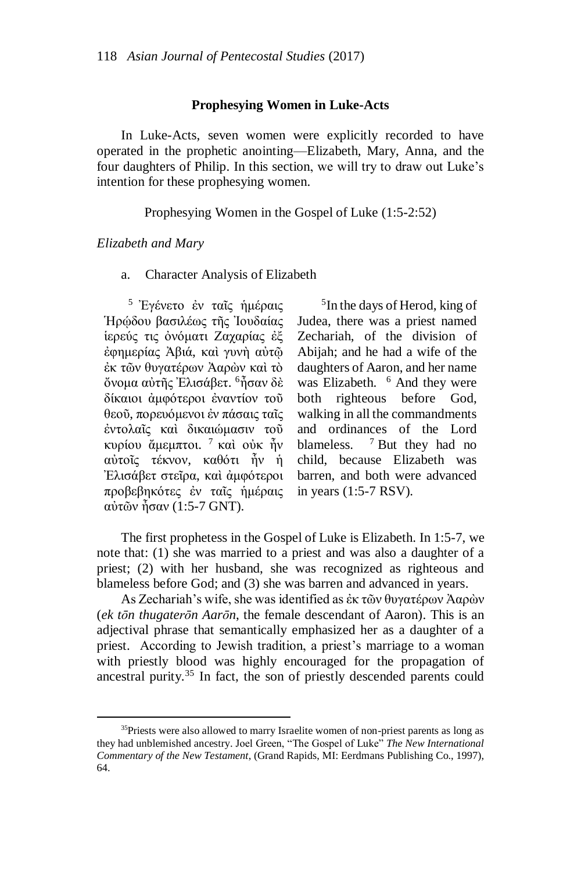#### **Prophesying Women in Luke-Acts**

In Luke-Acts, seven women were explicitly recorded to have operated in the prophetic anointing—Elizabeth, Mary, Anna, and the four daughters of Philip. In this section, we will try to draw out Luke's intention for these prophesying women.

Prophesying Women in the Gospel of Luke (1:5-2:52)

### *Elizabeth and Mary*

 $\overline{a}$ 

a. Character Analysis of Elizabeth

<sup>5</sup> Ἐγένετο ἐν ταῖς ἡμέραις Ἡρῴδου βασιλέως τῆς Ἰουδαίας ἱερεύς τις ὀνόματι Ζαχαρίας ἐξ ἐφημερίας Ἀβιά, καὶ γυνὴ αὐτῷ ἐκ τῶν θυγατέρων Ἀαρὼν καὶ τὸ ὄνομα αὐτῆς Ἐλισάβετ. <sup>6</sup>ἦσαν δὲ δίκαιοι ἀμφότεροι ἐναντίον τοῦ θεοῦ, πορευόμενοι ἐν πάσαις ταῖς ἐντολαῖς καὶ δικαιώμασιν τοῦ κυρίου ἄμεμπτοι. <sup>7</sup> καὶ οὐκ ἦν αὐτοῖς τέκνον, καθότι ἦν ἡ Ἐλισάβετ στεῖρα, καὶ ἀμφότεροι προβεβηκότες ἐν ταῖς ἡμέραις αὐτῶν ἦσαν (1:5-7 GNT).

<sup>5</sup>In the days of Herod, king of Judea, there was a priest named Zechariah, of the division of Abijah; and he had a wife of the daughters of Aaron, and her name was Elizabeth. <sup>6</sup> And they were both righteous before God, walking in all the commandments and ordinances of the Lord blameless.  $7$  But they had no child, because Elizabeth was barren, and both were advanced in years (1:5-7 RSV).

The first prophetess in the Gospel of Luke is Elizabeth. In 1:5-7, we note that: (1) she was married to a priest and was also a daughter of a priest; (2) with her husband, she was recognized as righteous and blameless before God; and (3) she was barren and advanced in years.

As Zechariah's wife, she was identified as ἐκ τῶν θυγατέρων Ἀαρὼν (*ek tōn thugaterōn Aarōn*, the female descendant of Aaron). This is an adjectival phrase that semantically emphasized her as a daughter of a priest. According to Jewish tradition, a priest's marriage to a woman with priestly blood was highly encouraged for the propagation of ancestral purity.<sup>35</sup> In fact, the son of priestly descended parents could

<sup>&</sup>lt;sup>35</sup>Priests were also allowed to marry Israelite women of non-priest parents as long as they had unblemished ancestry. Joel Green, "The Gospel of Luke" *The New International Commentary of the New Testament*, (Grand Rapids, MI: Eerdmans Publishing Co., 1997), 64.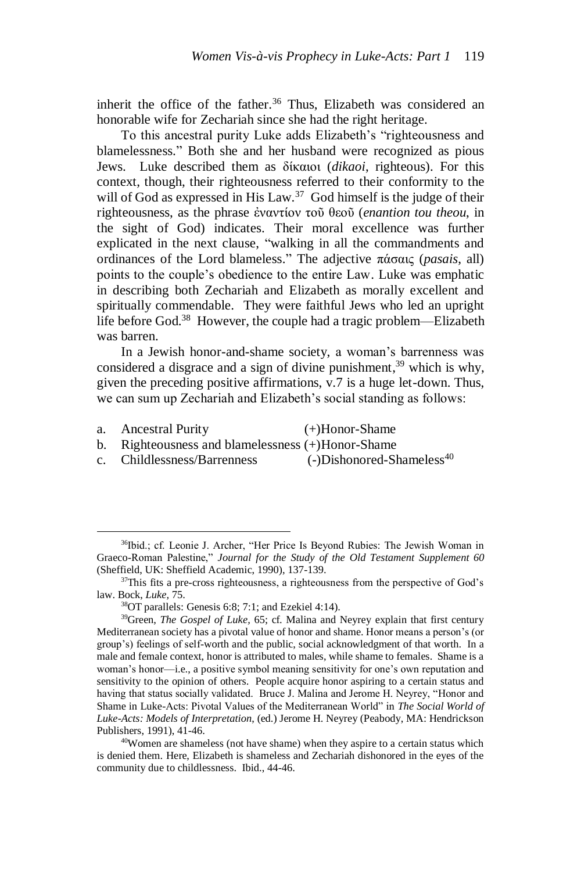inherit the office of the father.<sup>36</sup> Thus, Elizabeth was considered an honorable wife for Zechariah since she had the right heritage.

To this ancestral purity Luke adds Elizabeth's "righteousness and blamelessness." Both she and her husband were recognized as pious Jews. Luke described them as δίκαιοι (*dikaoi*, righteous). For this context, though, their righteousness referred to their conformity to the will of God as expressed in His Law.<sup>37</sup> God himself is the judge of their righteousness, as the phrase ἐναντίον τοῦ θεοῦ (*enantion tou theou*, in the sight of God) indicates. Their moral excellence was further explicated in the next clause, "walking in all the commandments and ordinances of the Lord blameless." The adjective πάσαις (*pasais*, all) points to the couple's obedience to the entire Law. Luke was emphatic in describing both Zechariah and Elizabeth as morally excellent and spiritually commendable. They were faithful Jews who led an upright life before God.<sup>38</sup> However, the couple had a tragic problem—Elizabeth was barren.

In a Jewish honor-and-shame society, a woman's barrenness was considered a disgrace and a sign of divine punishment, <sup>39</sup> which is why, given the preceding positive affirmations, v.7 is a huge let-down. Thus, we can sum up Zechariah and Elizabeth's social standing as follows:

a. Ancestral Purity (+)Honor-Shame

- b. Righteousness and blamelessness (+)Honor-Shame
- c. Childlessness/Barrenness (-)Dishonored-Shameless<sup>40</sup>

<sup>36</sup>Ibid.; cf. Leonie J. Archer, "Her Price Is Beyond Rubies: The Jewish Woman in Graeco-Roman Palestine," *Journal for the Study of the Old Testament Supplement 60*  (Sheffield, UK: Sheffield Academic, 1990), 137-139.

<sup>&</sup>lt;sup>37</sup>This fits a pre-cross righteousness, a righteousness from the perspective of God's law. Bock, *Luke,* 75.

<sup>38</sup>OT parallels: Genesis 6:8; 7:1; and Ezekiel 4:14).

<sup>39</sup>Green, *The Gospel of Luke,* 65; cf. Malina and Neyrey explain that first century Mediterranean society has a pivotal value of honor and shame. Honor means a person's (or group's) feelings of self-worth and the public, social acknowledgment of that worth. In a male and female context, honor is attributed to males, while shame to females. Shame is a woman's honor—i.e., a positive symbol meaning sensitivity for one's own reputation and sensitivity to the opinion of others. People acquire honor aspiring to a certain status and having that status socially validated. Bruce J. Malina and Jerome H. Neyrey, "Honor and Shame in Luke-Acts: Pivotal Values of the Mediterranean World" in *The Social World of Luke-Acts: Models of Interpretation*, (ed.) Jerome H. Neyrey (Peabody, MA: Hendrickson Publishers, 1991), 41-46.

<sup>40</sup>Women are shameless (not have shame) when they aspire to a certain status which is denied them. Here, Elizabeth is shameless and Zechariah dishonored in the eyes of the community due to childlessness. Ibid., 44-46.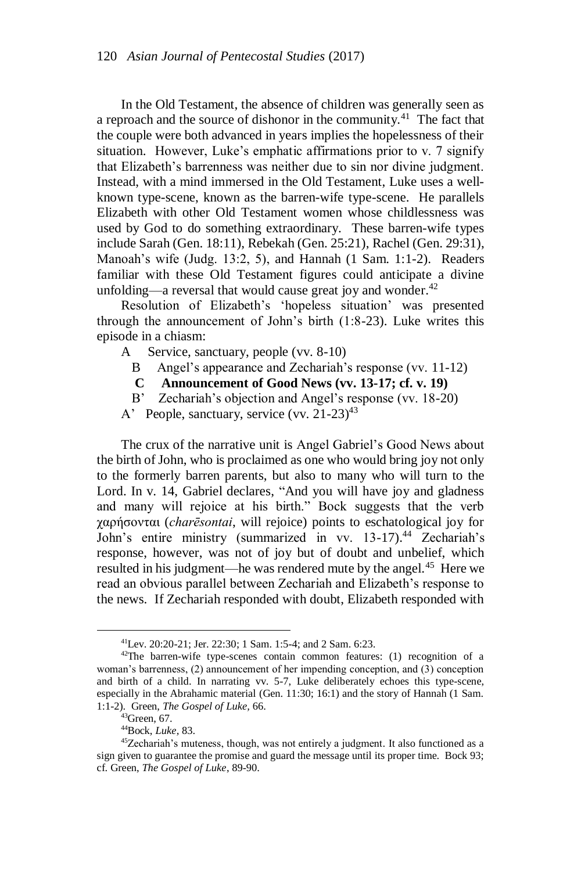In the Old Testament, the absence of children was generally seen as a reproach and the source of dishonor in the community.<sup>41</sup> The fact that the couple were both advanced in years implies the hopelessness of their situation. However, Luke's emphatic affirmations prior to v. 7 signify that Elizabeth's barrenness was neither due to sin nor divine judgment. Instead, with a mind immersed in the Old Testament, Luke uses a wellknown type-scene, known as the barren-wife type-scene. He parallels Elizabeth with other Old Testament women whose childlessness was used by God to do something extraordinary. These barren-wife types include Sarah (Gen. 18:11), Rebekah (Gen. 25:21), Rachel (Gen. 29:31), Manoah's wife (Judg. 13:2, 5), and Hannah (1 Sam. 1:1-2). Readers familiar with these Old Testament figures could anticipate a divine unfolding—a reversal that would cause great joy and wonder. $42$ 

Resolution of Elizabeth's 'hopeless situation' was presented through the announcement of John's birth (1:8-23). Luke writes this episode in a chiasm:

- A Service, sanctuary, people (vv. 8-10)
	- B Angel's appearance and Zechariah's response (vv. 11-12)
	- **C Announcement of Good News (vv. 13-17; cf. v. 19)**
	- B' Zechariah's objection and Angel's response (vv. 18-20)
- A' People, sanctuary, service (vv. 21-23)<sup>43</sup>

The crux of the narrative unit is Angel Gabriel's Good News about the birth of John, who is proclaimed as one who would bring joy not only to the formerly barren parents, but also to many who will turn to the Lord. In v. 14, Gabriel declares, "And you will have joy and gladness and many will rejoice at his birth." Bock suggests that the verb χαρήσονται (*charēsontai*, will rejoice) points to eschatological joy for John's entire ministry (summarized in vv. 13-17).<sup>44</sup> Zechariah's response, however, was not of joy but of doubt and unbelief, which resulted in his judgment—he was rendered mute by the angel.<sup>45</sup> Here we read an obvious parallel between Zechariah and Elizabeth's response to the news. If Zechariah responded with doubt, Elizabeth responded with

<sup>41</sup>Lev. 20:20-21; Jer. 22:30; 1 Sam. 1:5-4; and 2 Sam. 6:23.

 $42$ The barren-wife type-scenes contain common features: (1) recognition of a woman's barrenness, (2) announcement of her impending conception, and (3) conception and birth of a child. In narrating vv. 5-7, Luke deliberately echoes this type-scene, especially in the Abrahamic material (Gen. 11:30; 16:1) and the story of Hannah (1 Sam. 1:1-2). Green, *The Gospel of Luke,* 66.

<sup>43</sup>Green, 67.

<sup>44</sup>Bock, *Luke,* 83.

<sup>45</sup>Zechariah's muteness, though, was not entirely a judgment. It also functioned as a sign given to guarantee the promise and guard the message until its proper time. Bock 93; cf. Green, *The Gospel of Luke*, 89-90.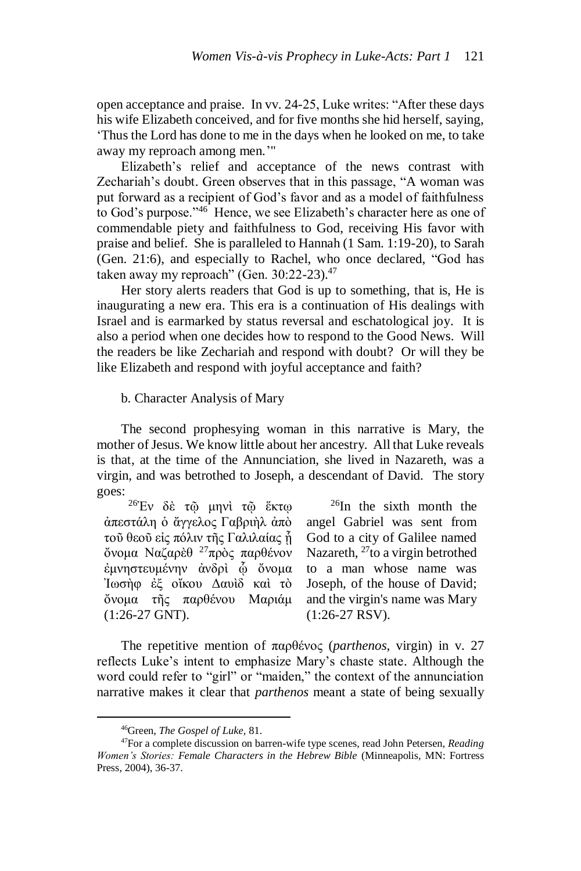open acceptance and praise. In vv. 24-25, Luke writes: "After these days his wife Elizabeth conceived, and for five months she hid herself, saying, 'Thus the Lord has done to me in the days when he looked on me, to take away my reproach among men.'"

Elizabeth's relief and acceptance of the news contrast with Zechariah's doubt. Green observes that in this passage, "A woman was put forward as a recipient of God's favor and as a model of faithfulness to God's purpose." $46$  Hence, we see Elizabeth's character here as one of commendable piety and faithfulness to God, receiving His favor with praise and belief. She is paralleled to Hannah (1 Sam. 1:19-20), to Sarah (Gen. 21:6), and especially to Rachel, who once declared, "God has taken away my reproach" (Gen. 30:22-23).<sup>47</sup>

Her story alerts readers that God is up to something, that is, He is inaugurating a new era. This era is a continuation of His dealings with Israel and is earmarked by status reversal and eschatological joy. It is also a period when one decides how to respond to the Good News. Will the readers be like Zechariah and respond with doubt? Or will they be like Elizabeth and respond with joyful acceptance and faith?

b. Character Analysis of Mary

The second prophesying woman in this narrative is Mary, the mother of Jesus. We know little about her ancestry. All that Luke reveals is that, at the time of the Annunciation, she lived in Nazareth, was a virgin, and was betrothed to Joseph, a descendant of David. The story goes:

 $^{26}{\rm Ev}$  δὲ τ<br/>థ μηνὶ τῷ ἕκτφ ἀπεστάλη ὁ ἄγγελος Γαβριὴλ ἀπὸ τοῦ θεοῦ εἰς πόλιν τῆς Γαλιλαίας ἧ ὄνομα Ναζαρὲθ <sup>27</sup>πρὸς παρθένον έμνηστευμένην ἀνδρὶ φ ὄνομα Ἰωσὴφ ἐξ οἴκου Δαυὶδ καὶ τὸ ὄνομα τῆς παρθένου Μαριάμ (1:26-27 GNT).

 $26$ In the sixth month the angel Gabriel was sent from God to a city of Galilee named Nazareth, <sup>27</sup>to a virgin betrothed to a man whose name was Joseph, of the house of David; and the virgin's name was Mary (1:26-27 RSV).

The repetitive mention of παρθένος (*parthenos*, virgin) in v. 27 reflects Luke's intent to emphasize Mary's chaste state. Although the word could refer to "girl" or "maiden," the context of the annunciation narrative makes it clear that *parthenos* meant a state of being sexually

<sup>46</sup>Green, *The Gospel of Luke,* 81.

<sup>47</sup>For a complete discussion on barren-wife type scenes, read John Petersen, *Reading Women's Stories: Female Characters in the Hebrew Bible* (Minneapolis, MN: Fortress Press, 2004), 36-37.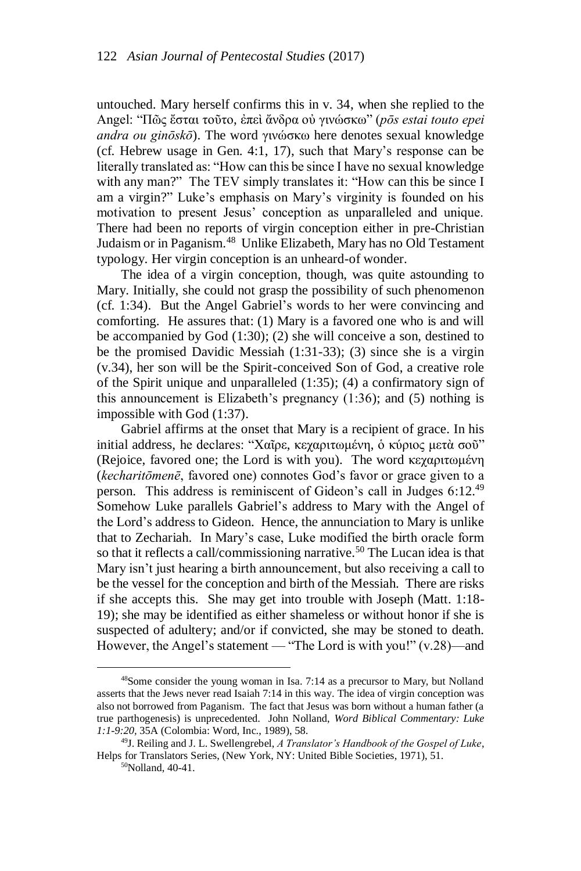untouched. Mary herself confirms this in v. 34, when she replied to the Angel: "Πῶς ἔσται τοῦτο, ἐπεὶ ἄνδρα οὐ γινώσκω" (*pōs estai touto epei andra ou ginōskō*). The word γινώσκω here denotes sexual knowledge (cf. Hebrew usage in Gen. 4:1, 17), such that Mary's response can be literally translated as: "How can this be since I have no sexual knowledge with any man?" The TEV simply translates it: "How can this be since I am a virgin?" Luke's emphasis on Mary's virginity is founded on his motivation to present Jesus' conception as unparalleled and unique. There had been no reports of virgin conception either in pre-Christian Judaism or in Paganism.<sup>48</sup> Unlike Elizabeth, Mary has no Old Testament typology. Her virgin conception is an unheard-of wonder.

The idea of a virgin conception, though, was quite astounding to Mary. Initially, she could not grasp the possibility of such phenomenon (cf. 1:34). But the Angel Gabriel's words to her were convincing and comforting. He assures that: (1) Mary is a favored one who is and will be accompanied by God (1:30); (2) she will conceive a son, destined to be the promised Davidic Messiah (1:31-33); (3) since she is a virgin (v.34), her son will be the Spirit-conceived Son of God, a creative role of the Spirit unique and unparalleled (1:35); (4) a confirmatory sign of this announcement is Elizabeth's pregnancy (1:36); and (5) nothing is impossible with God (1:37).

Gabriel affirms at the onset that Mary is a recipient of grace. In his initial address, he declares: "Χαῖρε, κεχαριτωμένη, ὁ κύριος μετὰ σοῦ" (Rejoice, favored one; the Lord is with you). The word κεχαριτωμένη (*kecharitōmenē*, favored one) connotes God's favor or grace given to a person. This address is reminiscent of Gideon's call in Judges 6:12.<sup>49</sup> Somehow Luke parallels Gabriel's address to Mary with the Angel of the Lord's address to Gideon. Hence, the annunciation to Mary is unlike that to Zechariah. In Mary's case, Luke modified the birth oracle form so that it reflects a call/commissioning narrative.<sup>50</sup> The Lucan idea is that Mary isn't just hearing a birth announcement, but also receiving a call to be the vessel for the conception and birth of the Messiah. There are risks if she accepts this. She may get into trouble with Joseph (Matt. 1:18- 19); she may be identified as either shameless or without honor if she is suspected of adultery; and/or if convicted, she may be stoned to death. However, the Angel's statement — "The Lord is with you!" (v.28)—and

<sup>48</sup>Some consider the young woman in Isa. 7:14 as a precursor to Mary, but Nolland asserts that the Jews never read Isaiah 7:14 in this way. The idea of virgin conception was also not borrowed from Paganism. The fact that Jesus was born without a human father (a true parthogenesis) is unprecedented. John Nolland, *Word Biblical Commentary: Luke 1:1-9:20,* 35A (Colombia: Word, Inc., 1989), 58.

<sup>49</sup>J. Reiling and J. L. Swellengrebel, *A Translator's Handbook of the Gospel of Luke*, Helps for Translators Series, (New York, NY: United Bible Societies, 1971), 51.

<sup>50</sup>Nolland, 40-41.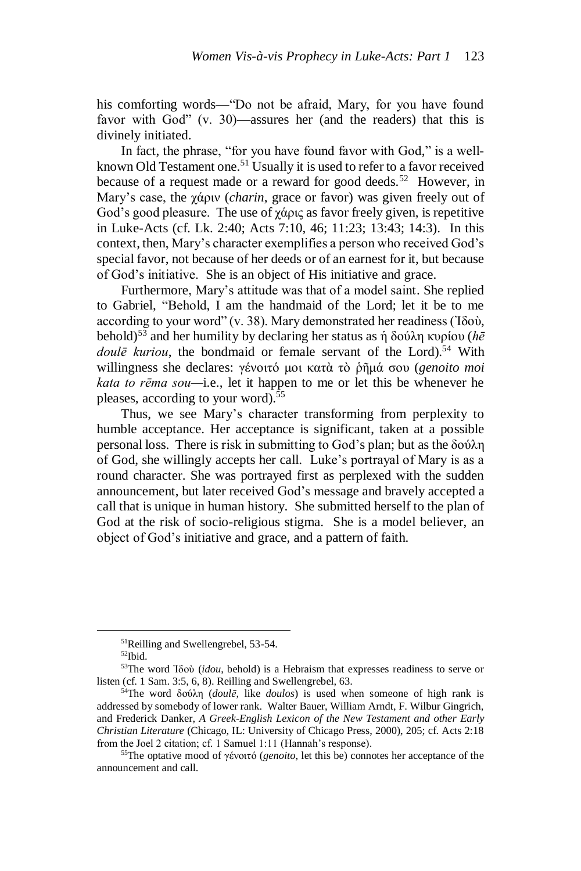his comforting words—"Do not be afraid, Mary, for you have found favor with God" (v. 30)—assures her (and the readers) that this is divinely initiated.

In fact, the phrase, "for you have found favor with God," is a wellknown Old Testament one.<sup>51</sup> Usually it is used to refer to a favor received because of a request made or a reward for good deeds.<sup>52</sup> However, in Mary's case, the χάριν (*charin*, grace or favor) was given freely out of God's good pleasure. The use of  $\gamma \dot{\alpha}$  pus as favor freely given, is repetitive in Luke-Acts (cf. Lk. 2:40; Acts 7:10, 46; 11:23; 13:43; 14:3). In this context, then, Mary's character exemplifies a person who received God's special favor, not because of her deeds or of an earnest for it, but because of God's initiative. She is an object of His initiative and grace.

Furthermore, Mary's attitude was that of a model saint. She replied to Gabriel, "Behold, I am the handmaid of the Lord; let it be to me according to your word" (v. 38). Mary demonstrated her readiness (Ἰδοὺ, behold)<sup>53</sup> and her humility by declaring her status as ἡ δούλη κυρίου (*hē doulē kuriou*, the bondmaid or female servant of the Lord).<sup>54</sup> With willingness she declares: γένοιτό μοι κατὰ τὸ ῥῆμά σου (*genoito moi kata to rēma sou—*i.e., let it happen to me or let this be whenever he pleases, according to your word).<sup>55</sup>

Thus, we see Mary's character transforming from perplexity to humble acceptance. Her acceptance is significant, taken at a possible personal loss. There is risk in submitting to God's plan; but as the δούλη of God, she willingly accepts her call. Luke's portrayal of Mary is as a round character. She was portrayed first as perplexed with the sudden announcement, but later received God's message and bravely accepted a call that is unique in human history. She submitted herself to the plan of God at the risk of socio-religious stigma. She is a model believer, an object of God's initiative and grace, and a pattern of faith.

<sup>51</sup>Reilling and Swellengrebel, 53-54.

<sup>52</sup>Ibid.

<sup>53</sup>The word Ἰδοὺ (*idou*, behold) is a Hebraism that expresses readiness to serve or listen (cf. 1 Sam. 3:5, 6, 8). Reilling and Swellengrebel, 63.

<sup>54</sup>The word δούλη (*doulē*, like *doulos*) is used when someone of high rank is addressed by somebody of lower rank. Walter Bauer, William Arndt, F. Wilbur Gingrich, and Frederick Danker, *A Greek-English Lexicon of the New Testament and other Early Christian Literature* (Chicago, IL: University of Chicago Press, 2000), 205; cf. Acts 2:18 from the Joel 2 citation; cf. 1 Samuel 1:11 (Hannah's response).

<sup>55</sup>The optative mood of γένοιτό (*genoito*, let this be) connotes her acceptance of the announcement and call.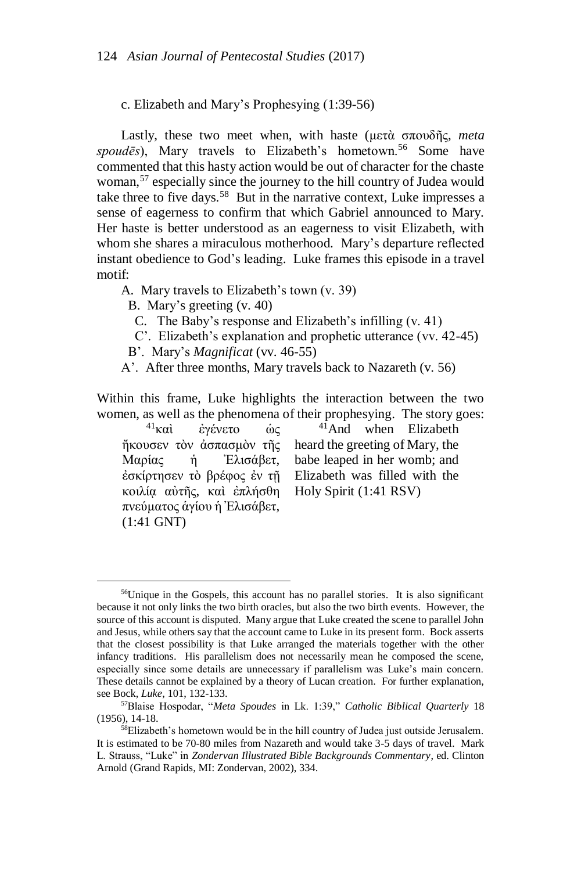c. Elizabeth and Mary's Prophesying (1:39-56)

Lastly, these two meet when, with haste (μετὰ σπουδῆς, *meta*  spoudēs), Mary travels to Elizabeth's hometown.<sup>56</sup> Some have commented that this hasty action would be out of character for the chaste woman,<sup>57</sup> especially since the journey to the hill country of Judea would take three to five days.<sup>58</sup> But in the narrative context, Luke impresses a sense of eagerness to confirm that which Gabriel announced to Mary. Her haste is better understood as an eagerness to visit Elizabeth, with whom she shares a miraculous motherhood. Mary's departure reflected instant obedience to God's leading. Luke frames this episode in a travel motif:

A. Mary travels to Elizabeth's town (v. 39)

B. Mary's greeting (v. 40)

C. The Baby's response and Elizabeth's infilling (v. 41)

C'. Elizabeth's explanation and prophetic utterance (vv. 42-45)

B'. Mary's *Magnificat* (vv. 46-55)

A'. After three months, Mary travels back to Nazareth (v. 56)

Within this frame, Luke highlights the interaction between the two women, as well as the phenomena of their prophesying. The story goes:

<sup>41</sup>καὶ ἐγένετο ὡς κοιλίᾳ αὐτῆς, καὶ ἐπλήσθη Holy Spirit (1:41 RSV) πνεύματος ἁγίου ἡ Ἐλισάβετ, (1:41 GNT)

 $\overline{a}$ 

ἤκουσεν τὸν ἀσπασμὸν τῆς heard the greeting of Mary, the Μαρίας ἡ Ἐλισάβετ, babe leaped in her womb; and ἐσκίρτησεν τὸ βρέφος ἐν τῇ Elizabeth was filled with the <sup>41</sup>And when Elizabeth

<sup>&</sup>lt;sup>56</sup>Unique in the Gospels, this account has no parallel stories. It is also significant because it not only links the two birth oracles, but also the two birth events. However, the source of this account is disputed. Many argue that Luke created the scene to parallel John and Jesus, while others say that the account came to Luke in its present form. Bock asserts that the closest possibility is that Luke arranged the materials together with the other infancy traditions. His parallelism does not necessarily mean he composed the scene, especially since some details are unnecessary if parallelism was Luke's main concern. These details cannot be explained by a theory of Lucan creation. For further explanation, see Bock, *Luke*, 101, 132-133.

<sup>57</sup>Blaise Hospodar, "*Meta Spoudes* in Lk. 1:39," *Catholic Biblical Quarterly* 18 (1956), 14-18.

<sup>58</sup>Elizabeth's hometown would be in the hill country of Judea just outside Jerusalem. It is estimated to be 70-80 miles from Nazareth and would take 3-5 days of travel. Mark L. Strauss, "Luke" in *Zondervan Illustrated Bible Backgrounds Commentary*, ed. Clinton Arnold (Grand Rapids, MI: Zondervan, 2002), 334.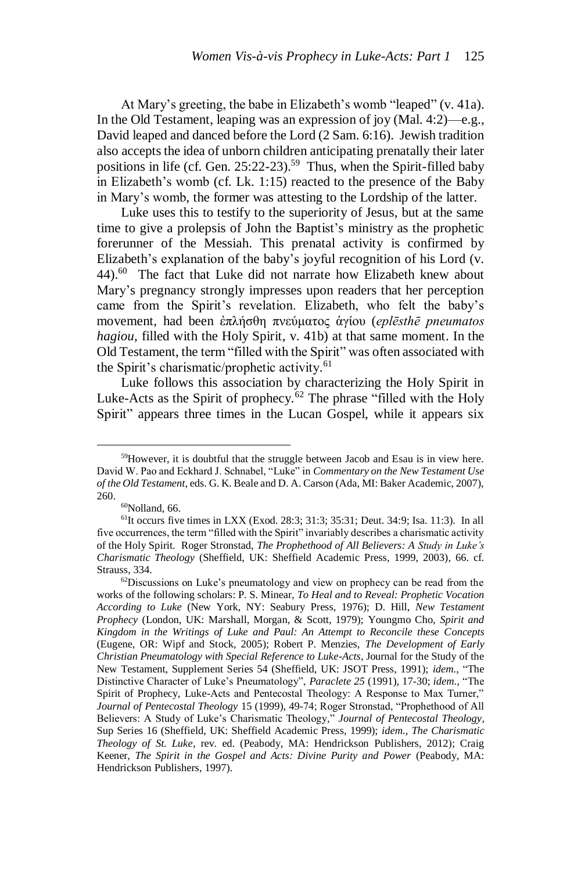At Mary's greeting, the babe in Elizabeth's womb "leaped" (v. 41a). In the Old Testament, leaping was an expression of joy (Mal. 4:2)—e.g., David leaped and danced before the Lord (2 Sam. 6:16). Jewish tradition also accepts the idea of unborn children anticipating prenatally their later positions in life (cf. Gen. 25:22-23).<sup>59</sup> Thus, when the Spirit-filled baby in Elizabeth's womb (cf. Lk. 1:15) reacted to the presence of the Baby in Mary's womb, the former was attesting to the Lordship of the latter.

Luke uses this to testify to the superiority of Jesus, but at the same time to give a prolepsis of John the Baptist's ministry as the prophetic forerunner of the Messiah. This prenatal activity is confirmed by Elizabeth's explanation of the baby's joyful recognition of his Lord (v. 44).<sup>60</sup> The fact that Luke did not narrate how Elizabeth knew about Mary's pregnancy strongly impresses upon readers that her perception came from the Spirit's revelation. Elizabeth, who felt the baby's movement, had been ἐπλήσθη πνεύματος ἁγίου (*eplēsthē pneumatos hagiou*, filled with the Holy Spirit, v. 41b) at that same moment. In the Old Testament, the term "filled with the Spirit" was often associated with the Spirit's charismatic/prophetic activity. 61

Luke follows this association by characterizing the Holy Spirit in Luke-Acts as the Spirit of prophecy.<sup>62</sup> The phrase "filled with the Holy Spirit" appears three times in the Lucan Gospel, while it appears six

<sup>59</sup>However, it is doubtful that the struggle between Jacob and Esau is in view here. David W. Pao and Eckhard J. Schnabel, "Luke" in *Commentary on the New Testament Use of the Old Testament*, eds. G. K. Beale and D. A. Carson (Ada, MI: Baker Academic, 2007), 260.

 $60$ Nolland, 66.

 $61$ It occurs five times in LXX (Exod. 28:3; 31:3; 35:31; Deut. 34:9; Isa. 11:3). In all five occurrences, the term "filled with the Spirit" invariably describes a charismatic activity of the Holy Spirit. Roger Stronstad, *The Prophethood of All Believers: A Study in Luke's Charismatic Theology* (Sheffield, UK: Sheffield Academic Press, 1999, 2003)*,* 66. cf. Strauss, 334.

 $62$ Discussions on Luke's pneumatology and view on prophecy can be read from the works of the following scholars: P. S. Minear, *To Heal and to Reveal: Prophetic Vocation According to Luke* (New York, NY: Seabury Press, 1976); D. Hill, *New Testament Prophecy* (London, UK: Marshall, Morgan, & Scott, 1979); Youngmo Cho, *Spirit and Kingdom in the Writings of Luke and Paul: An Attempt to Reconcile these Concepts* (Eugene, OR: Wipf and Stock, 2005); Robert P. Menzies, *The Development of Early Christian Pneumatology with Special Reference to Luke-Acts,* Journal for the Study of the New Testament, Supplement Series 54 (Sheffield, UK: JSOT Press, 1991); *idem.,* "The Distinctive Character of Luke's Pneumatology", *Paraclete 25* (1991), 17-30; *idem.,* "The Spirit of Prophecy, Luke-Acts and Pentecostal Theology: A Response to Max Turner," *Journal of Pentecostal Theology* 15 (1999), 49-74; Roger Stronstad, "Prophethood of All Believers: A Study of Luke's Charismatic Theology*,*" *Journal of Pentecostal Theology*, Sup Series 16 (Sheffield, UK: Sheffield Academic Press, 1999); *idem., The Charismatic Theology of St. Luke*, rev. ed. (Peabody, MA: Hendrickson Publishers, 2012); Craig Keener, *The Spirit in the Gospel and Acts: Divine Purity and Power* (Peabody, MA: Hendrickson Publishers, 1997).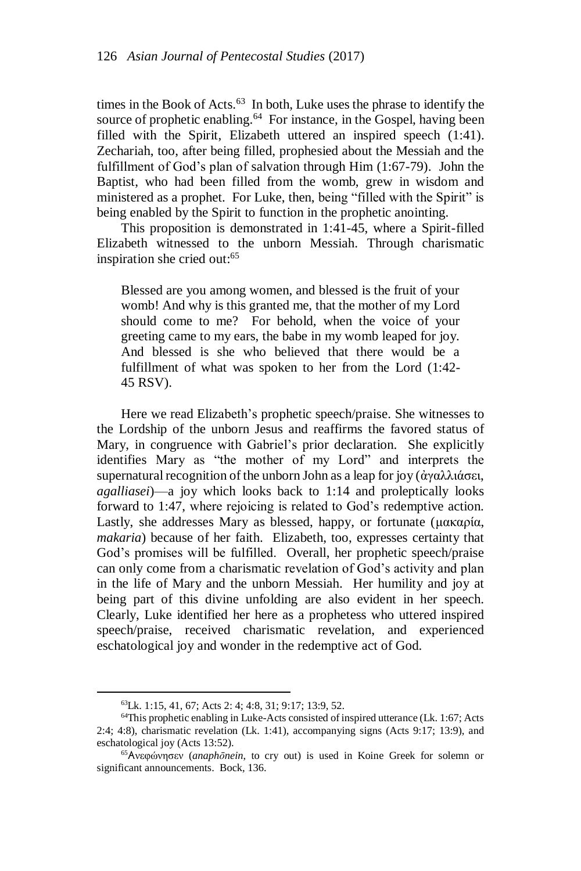times in the Book of Acts.<sup>63</sup> In both, Luke uses the phrase to identify the source of prophetic enabling.<sup>64</sup> For instance, in the Gospel, having been filled with the Spirit, Elizabeth uttered an inspired speech (1:41). Zechariah, too, after being filled, prophesied about the Messiah and the fulfillment of God's plan of salvation through Him (1:67-79). John the Baptist, who had been filled from the womb, grew in wisdom and ministered as a prophet. For Luke, then, being "filled with the Spirit" is being enabled by the Spirit to function in the prophetic anointing.

This proposition is demonstrated in 1:41-45, where a Spirit-filled Elizabeth witnessed to the unborn Messiah. Through charismatic inspiration she cried out:<sup>65</sup>

Blessed are you among women, and blessed is the fruit of your womb! And why is this granted me, that the mother of my Lord should come to me? For behold, when the voice of your greeting came to my ears, the babe in my womb leaped for joy. And blessed is she who believed that there would be a fulfillment of what was spoken to her from the Lord (1:42- 45 RSV).

Here we read Elizabeth's prophetic speech/praise. She witnesses to the Lordship of the unborn Jesus and reaffirms the favored status of Mary, in congruence with Gabriel's prior declaration. She explicitly identifies Mary as "the mother of my Lord" and interprets the supernatural recognition of the unborn John as a leap for joy (ἀγαλλιάσει, *agalliasei*)—a joy which looks back to 1:14 and proleptically looks forward to 1:47, where rejoicing is related to God's redemptive action. Lastly, she addresses Mary as blessed, happy, or fortunate (μακαρία, *makaria*) because of her faith. Elizabeth, too, expresses certainty that God's promises will be fulfilled. Overall, her prophetic speech/praise can only come from a charismatic revelation of God's activity and plan in the life of Mary and the unborn Messiah. Her humility and joy at being part of this divine unfolding are also evident in her speech. Clearly, Luke identified her here as a prophetess who uttered inspired speech/praise, received charismatic revelation, and experienced eschatological joy and wonder in the redemptive act of God.

<sup>63</sup>Lk. 1:15, 41, 67; Acts 2: 4; 4:8, 31; 9:17; 13:9, 52.

<sup>64</sup>This prophetic enabling in Luke-Acts consisted of inspired utterance (Lk. 1:67; Acts 2:4; 4:8), charismatic revelation (Lk. 1:41), accompanying signs (Acts 9:17; 13:9), and eschatological joy (Acts 13:52).

<sup>65</sup>Aνεφώνησεν (*anaphōnein*, to cry out) is used in Koine Greek for solemn or significant announcements. Bock, 136.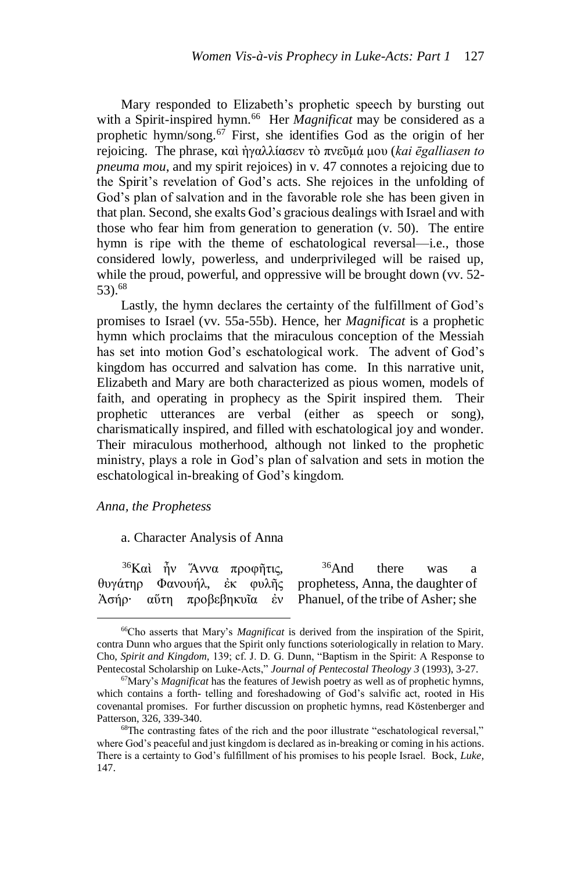Mary responded to Elizabeth's prophetic speech by bursting out with a Spirit-inspired hymn.<sup>66</sup> Her *Magnificat* may be considered as a prophetic hymn/song.<sup>67</sup> First, she identifies God as the origin of her rejoicing. The phrase, καὶ ἠγαλλίασεν τὸ πνεῦμά μου (*kai ēgalliasen to pneuma mou*, and my spirit rejoices) in v. 47 connotes a rejoicing due to the Spirit's revelation of God's acts. She rejoices in the unfolding of God's plan of salvation and in the favorable role she has been given in that plan. Second, she exalts God's gracious dealings with Israel and with those who fear him from generation to generation (v. 50). The entire hymn is ripe with the theme of eschatological reversal—i.e., those considered lowly, powerless, and underprivileged will be raised up, while the proud, powerful, and oppressive will be brought down (vv. 52- 53).<sup>68</sup>

Lastly, the hymn declares the certainty of the fulfillment of God's promises to Israel (vv. 55a-55b). Hence, her *Magnificat* is a prophetic hymn which proclaims that the miraculous conception of the Messiah has set into motion God's eschatological work. The advent of God's kingdom has occurred and salvation has come. In this narrative unit, Elizabeth and Mary are both characterized as pious women, models of faith, and operating in prophecy as the Spirit inspired them. Their prophetic utterances are verbal (either as speech or song), charismatically inspired, and filled with eschatological joy and wonder. Their miraculous motherhood, although not linked to the prophetic ministry, plays a role in God's plan of salvation and sets in motion the eschatological in-breaking of God's kingdom.

#### *Anna, the Prophetess*

 $\overline{a}$ 

a. Character Analysis of Anna

<sup>36</sup>Καὶ ἦν Ἅννα προφῆτις, θυγάτηρ Φανουήλ, ἐκ φυλῆς prophetess, Anna, the daughter of Ἀσήρ· αὕτη προβεβηκυῖα ἐν Phanuel, of the tribe of Asher; she <sup>36</sup>And there was a

<sup>66</sup>Cho asserts that Mary's *Magnificat* is derived from the inspiration of the Spirit, contra Dunn who argues that the Spirit only functions soteriologically in relation to Mary. Cho, *Spirit and Kingdom,* 139; cf. J. D. G. Dunn, "Baptism in the Spirit: A Response to Pentecostal Scholarship on Luke-Acts," *Journal of Pentecostal Theology 3* (1993), 3-27.

<sup>67</sup>Mary's *Magnificat* has the features of Jewish poetry as well as of prophetic hymns, which contains a forth- telling and foreshadowing of God's salvific act, rooted in His covenantal promises. For further discussion on prophetic hymns, read Köstenberger and Patterson, 326, 339-340.

<sup>68</sup>The contrasting fates of the rich and the poor illustrate "eschatological reversal," where God's peaceful and just kingdom is declared as in-breaking or coming in his actions. There is a certainty to God's fulfillment of his promises to his people Israel. Bock, *Luke,*  147.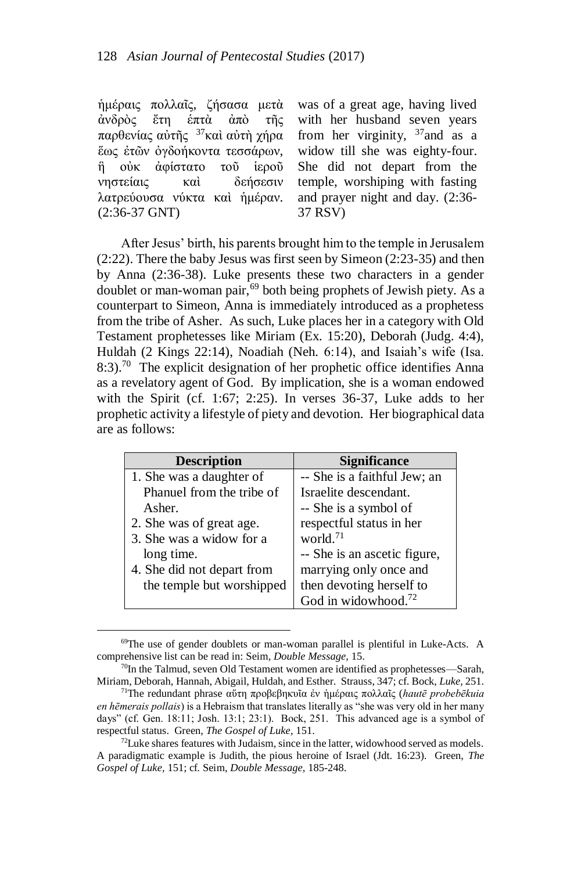ἡμέραις πολλαῖς, ζήσασα μετὰ ἀνδρὸς ἔτη ἑπτὰ ἀπὸ τῆς παρθενίας αὐτῆς <sup>37</sup>καὶ αὐτὴ χήρα ἕως ἐτῶν ὀγδοήκοντα τεσσάρων, ἣ οὐκ ἀφίστατο τοῦ ἱεροῦ νηστείαις καὶ δεήσεσιν λατρεύουσα νύκτα καὶ ἡμέραν. (2:36-37 GNT)

 $\overline{a}$ 

was of a great age, having lived with her husband seven years from her virginity,  $37$  and as a widow till she was eighty-four. She did not depart from the temple, worshiping with fasting and prayer night and day. (2:36- 37 RSV)

After Jesus' birth, his parents brought him to the temple in Jerusalem (2:22). There the baby Jesus was first seen by Simeon (2:23-35) and then by Anna (2:36-38). Luke presents these two characters in a gender doublet or man-woman pair,<sup>69</sup> both being prophets of Jewish piety. As a counterpart to Simeon, Anna is immediately introduced as a prophetess from the tribe of Asher. As such, Luke places her in a category with Old Testament prophetesses like Miriam (Ex. 15:20), Deborah (Judg. 4:4), Huldah (2 Kings 22:14), Noadiah (Neh. 6:14), and Isaiah's wife (Isa. 8:3).<sup>70</sup> The explicit designation of her prophetic office identifies Anna as a revelatory agent of God. By implication, she is a woman endowed with the Spirit (cf. 1:67; 2:25). In verses 36-37, Luke adds to her prophetic activity a lifestyle of piety and devotion. Her biographical data are as follows:

| <b>Description</b>         | <b>Significance</b>             |
|----------------------------|---------------------------------|
| 1. She was a daughter of   | -- She is a faithful Jew; an    |
| Phanuel from the tribe of  | Israelite descendant.           |
| Asher.                     | -- She is a symbol of           |
| 2. She was of great age.   | respectful status in her        |
| 3. She was a widow for a   | world. <sup>71</sup>            |
| long time.                 | -- She is an ascetic figure,    |
| 4. She did not depart from | marrying only once and          |
| the temple but worshipped  | then devoting herself to        |
|                            | God in widowhood. <sup>72</sup> |

<sup>69</sup>The use of gender doublets or man-woman parallel is plentiful in Luke-Acts. A comprehensive list can be read in: Seim, *Double Message,* 15.

 $70$ In the Talmud, seven Old Testament women are identified as prophetesses—Sarah, Miriam, Deborah, Hannah, Abigail, Huldah, and Esther. Strauss, 347; cf. Bock, *Luke,* 251.

<sup>71</sup>The redundant phrase αὕτη προβεβηκυῖα ἐν ἡμέραις πολλαῖς (*hautē probebēkuia en hēmerais pollais*) is a Hebraism that translates literally as "she was very old in her many days" (cf. Gen. 18:11; Josh. 13:1; 23:1). Bock, 251. This advanced age is a symbol of respectful status. Green, *The Gospel of Luke,* 151.

 $72$ Luke shares features with Judaism, since in the latter, widowhood served as models. A paradigmatic example is Judith, the pious heroine of Israel (Jdt. 16:23). Green, *The Gospel of Luke,* 151; cf. Seim, *Double Message,* 185-248.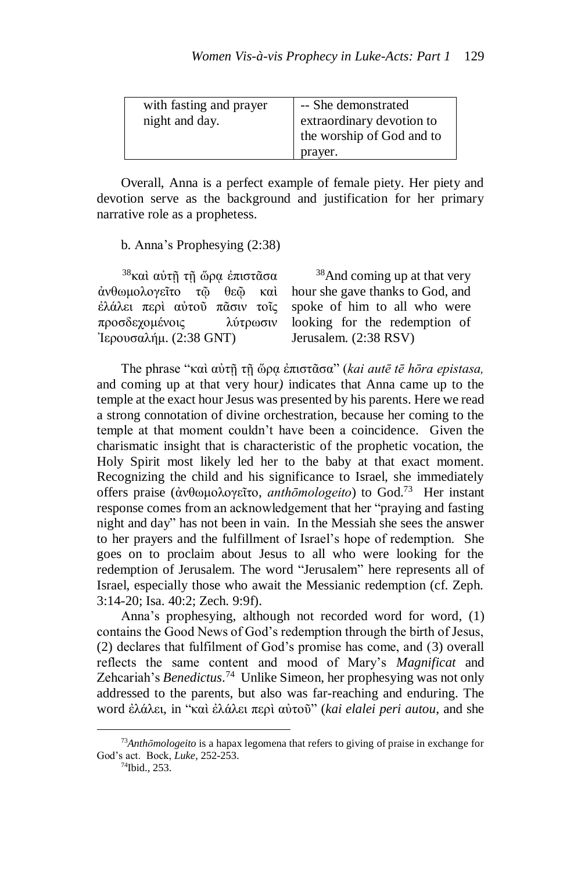| with fasting and prayer<br>night and day. | -- She demonstrated<br>extraordinary devotion to<br>the worship of God and to |
|-------------------------------------------|-------------------------------------------------------------------------------|
|                                           | prayer.                                                                       |

Overall, Anna is a perfect example of female piety. Her piety and devotion serve as the background and justification for her primary narrative role as a prophetess.

b. Anna's Prophesying (2:38)

<sup>38</sup>καὶ αὐτῆ τῆ ὥρα ἐπιστᾶσα ἀνθωμολογεῖτο τῷ θεῷ καὶ ἐλάλει περὶ αὐτοῦ πᾶσιν τοῖς προσδεχομένοις λύτρωσιν Ἰερουσαλήμ. (2:38 GNT)

<sup>38</sup>And coming up at that very hour she gave thanks to God, and spoke of him to all who were looking for the redemption of Jerusalem. (2:38 RSV)

The phrase "καὶ αὐτῇ τῇ ὥρᾳ ἐπιστᾶσα" (*kai autē tē hōra epistasa,*  and coming up at that very hour*)* indicates that Anna came up to the temple at the exact hour Jesus was presented by his parents. Here we read a strong connotation of divine orchestration, because her coming to the temple at that moment couldn't have been a coincidence. Given the charismatic insight that is characteristic of the prophetic vocation, the Holy Spirit most likely led her to the baby at that exact moment. Recognizing the child and his significance to Israel, she immediately offers praise (ἀνθωμολογεῖτο, *anthōmologeito*) to God.<sup>73</sup> Her instant response comes from an acknowledgement that her "praying and fasting night and day" has not been in vain. In the Messiah she sees the answer to her prayers and the fulfillment of Israel's hope of redemption. She goes on to proclaim about Jesus to all who were looking for the redemption of Jerusalem. The word "Jerusalem" here represents all of Israel, especially those who await the Messianic redemption (cf. Zeph. 3:14-20; Isa. 40:2; Zech. 9:9f).

Anna's prophesying, although not recorded word for word, (1) contains the Good News of God's redemption through the birth of Jesus, (2) declares that fulfilment of God's promise has come, and (3) overall reflects the same content and mood of Mary's *Magnificat* and Zehcariah's *Benedictus*. <sup>74</sup> Unlike Simeon, her prophesying was not only addressed to the parents, but also was far-reaching and enduring. The word ἐλάλει, in "καὶ ἐλάλει περὶ αὐτοῦ" (*kai elalei peri autou*, and she

<sup>73</sup>*Anthōmologeito* is a hapax legomena that refers to giving of praise in exchange for God's act. Bock, *Luke*, 252-253.

<sup>74</sup>Ibid.*,* 253.